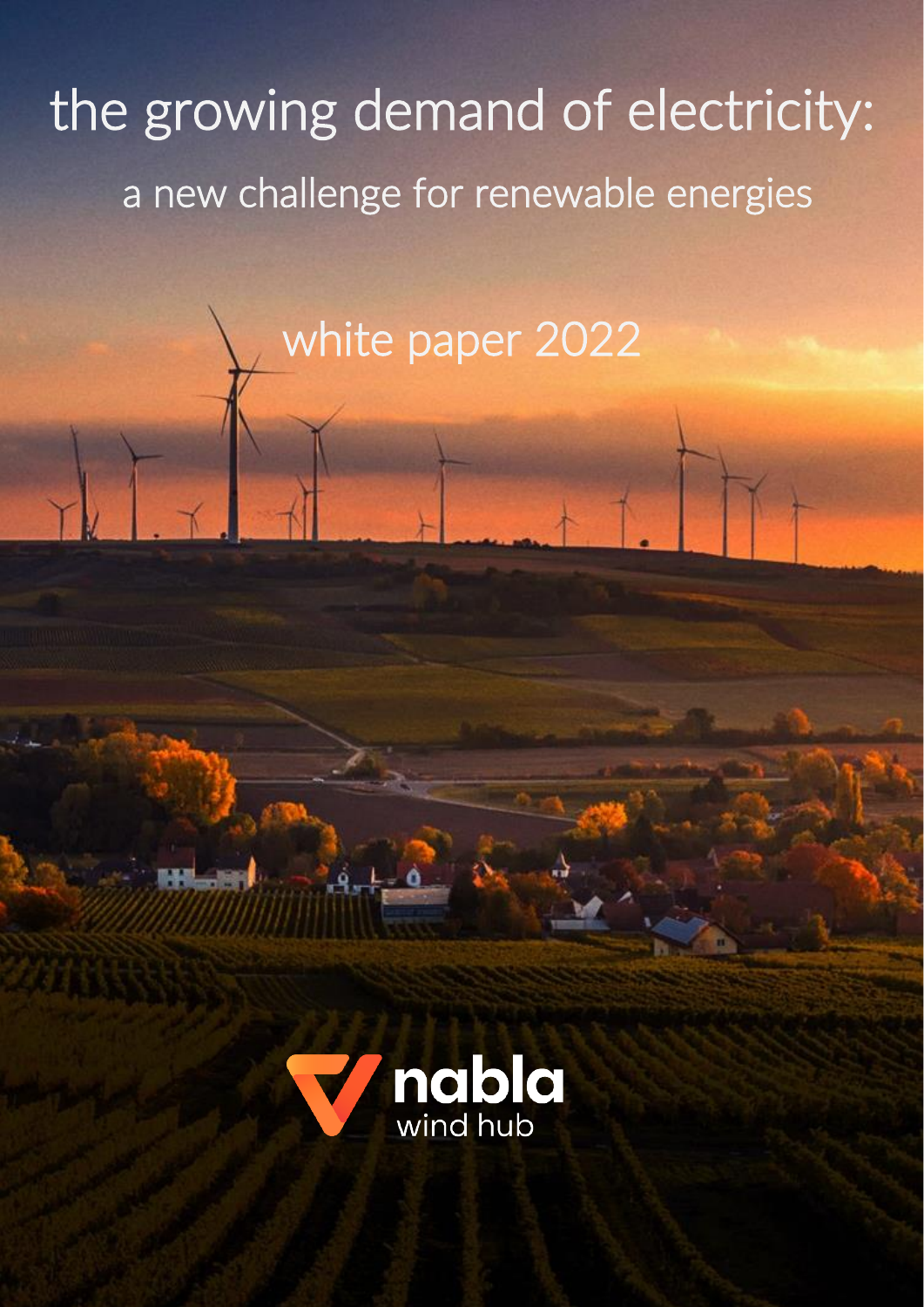# the growing demand of electricity: a new challenge for renewable energies

white paper 2022

ĺ

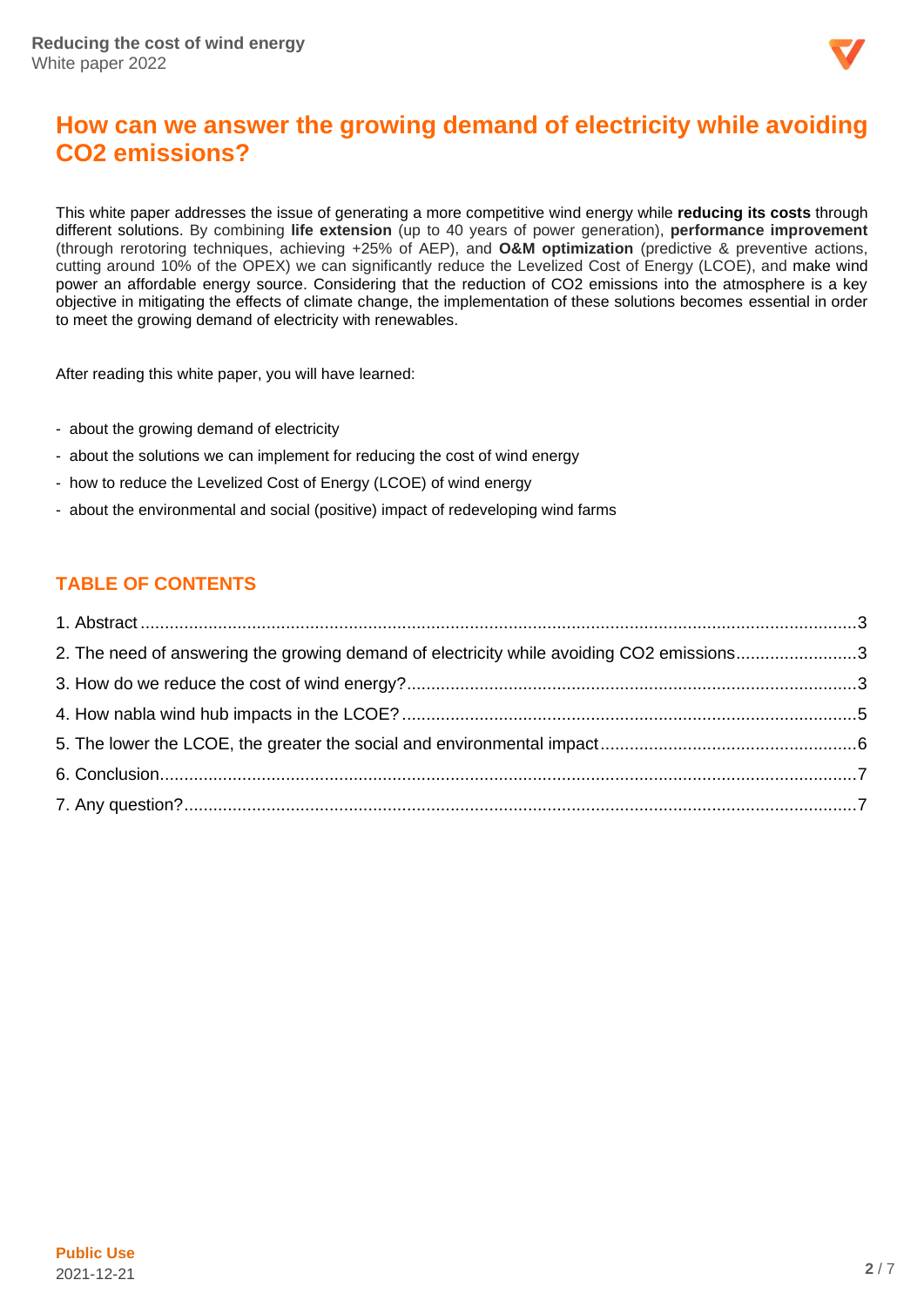

# **How can we answer the growing demand of electricity while avoiding CO2 emissions?**

This white paper addresses the issue of generating a more competitive wind energy while **reducing its costs** through different solutions. By combining **life extension** (up to 40 years of power generation), **performance improvement** (through rerotoring techniques, achieving +25% of AEP), and **O&M optimization** (predictive & preventive actions, cutting around 10% of the OPEX) we can significantly reduce the Levelized Cost of Energy (LCOE), and make wind power an affordable energy source. Considering that the reduction of CO2 emissions into the atmosphere is a key objective in mitigating the effects of climate change, the implementation of these solutions becomes essential in order to meet the growing demand of electricity with renewables.

After reading this white paper, you will have learned:

- about the growing demand of electricity
- about the solutions we can implement for reducing the cost of wind energy
- how to reduce the Levelized Cost of Energy (LCOE) of wind energy
- about the environmental and social (positive) impact of redeveloping wind farms

# **TABLE OF CONTENTS**

| 2. The need of answering the growing demand of electricity while avoiding CO2 emissions3 |  |
|------------------------------------------------------------------------------------------|--|
|                                                                                          |  |
|                                                                                          |  |
|                                                                                          |  |
|                                                                                          |  |
|                                                                                          |  |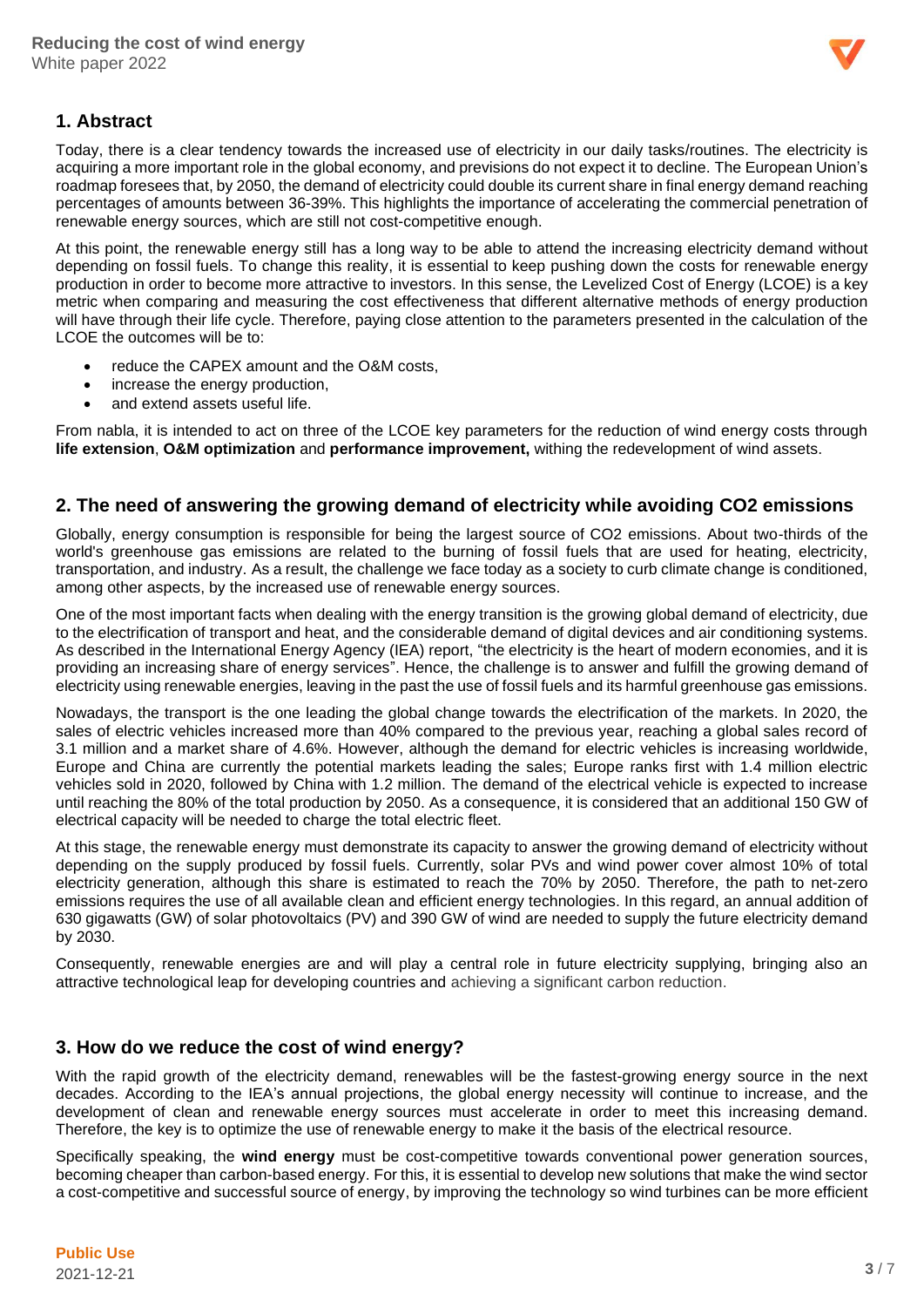

# <span id="page-2-0"></span>**1. Abstract**

Today, there is a clear tendency towards the increased use of electricity in our daily tasks/routines. The electricity is acquiring a more important role in the global economy, and previsions do not expect it to decline. The European Union's roadmap foresees that, by 2050, the demand of electricity could double its current share in final energy demand reaching percentages of amounts between 36-39%. This highlights the importance of accelerating the commercial penetration of renewable energy sources, which are still not cost-competitive enough.

At this point, the renewable energy still has a long way to be able to attend the increasing electricity demand without depending on fossil fuels. To change this reality, it is essential to keep pushing down the costs for renewable energy production in order to become more attractive to investors. In this sense, the Levelized Cost of Energy (LCOE) is a key metric when comparing and measuring the cost effectiveness that different alternative methods of energy production will have through their life cycle. Therefore, paying close attention to the parameters presented in the calculation of the LCOE the outcomes will be to:

- reduce the CAPEX amount and the O&M costs,
- increase the energy production,
- and extend assets useful life.

From nabla, it is intended to act on three of the LCOE key parameters for the reduction of wind energy costs through **life extension**, **O&M optimization** and **performance improvement,** withing the redevelopment of wind assets.

#### <span id="page-2-1"></span>**2. The need of answering the growing demand of electricity while avoiding CO2 emissions**

Globally, energy consumption is responsible for being the largest source of CO2 emissions. About two-thirds of the world's greenhouse gas emissions are related to the burning of fossil fuels that are used for heating, electricity, transportation, and industry. As a result, the challenge we face today as a society to curb climate change is conditioned, among other aspects, by the increased use of renewable energy sources.

One of the most important facts when dealing with the energy transition is the growing global demand of electricity, due to the electrification of transport and heat, and the considerable demand of digital devices and air conditioning systems. As described in the International Energy Agency (IEA) report, "the electricity is the heart of modern economies, and it is providing an increasing share of energy services". Hence, the challenge is to answer and fulfill the growing demand of electricity using renewable energies, leaving in the past the use of fossil fuels and its harmful greenhouse gas emissions.

Nowadays, the transport is the one leading the global change towards the electrification of the markets. In 2020, the sales of electric vehicles increased more than 40% compared to the previous year, reaching a global sales record of 3.1 million and a market share of 4.6%. However, although the demand for electric vehicles is increasing worldwide, Europe and China are currently the potential markets leading the sales; Europe ranks first with 1.4 million electric vehicles sold in 2020, followed by China with 1.2 million. The demand of the electrical vehicle is expected to increase until reaching the 80% of the total production by 2050. As a consequence, it is considered that an additional 150 GW of electrical capacity will be needed to charge the total electric fleet.

At this stage, the renewable energy must demonstrate its capacity to answer the growing demand of electricity without depending on the supply produced by fossil fuels. Currently, solar PVs and wind power cover almost 10% of total electricity generation, although this share is estimated to reach the 70% by 2050. Therefore, the path to net-zero emissions requires the use of all available clean and efficient energy technologies. In this regard, an annual addition of 630 gigawatts (GW) of solar photovoltaics (PV) and 390 GW of wind are needed to supply the future electricity demand by 2030.

Consequently, renewable energies are and will play a central role in future electricity supplying, bringing also an attractive technological leap for developing countries and achieving a significant carbon reduction.

#### <span id="page-2-2"></span>**3. How do we reduce the cost of wind energy?**

With the rapid growth of the electricity demand, renewables will be the fastest-growing energy source in the next decades. According to the IEA's annual projections, the global energy necessity will continue to increase, and the development of clean and renewable energy sources must accelerate in order to meet this increasing demand. Therefore, the key is to optimize the use of renewable energy to make it the basis of the electrical resource.

Specifically speaking, the **wind energy** must be cost-competitive towards conventional power generation sources, becoming cheaper than carbon-based energy. For this, it is essential to develop new solutions that make the wind sector a cost-competitive and successful source of energy, by improving the technology so wind turbines can be more efficient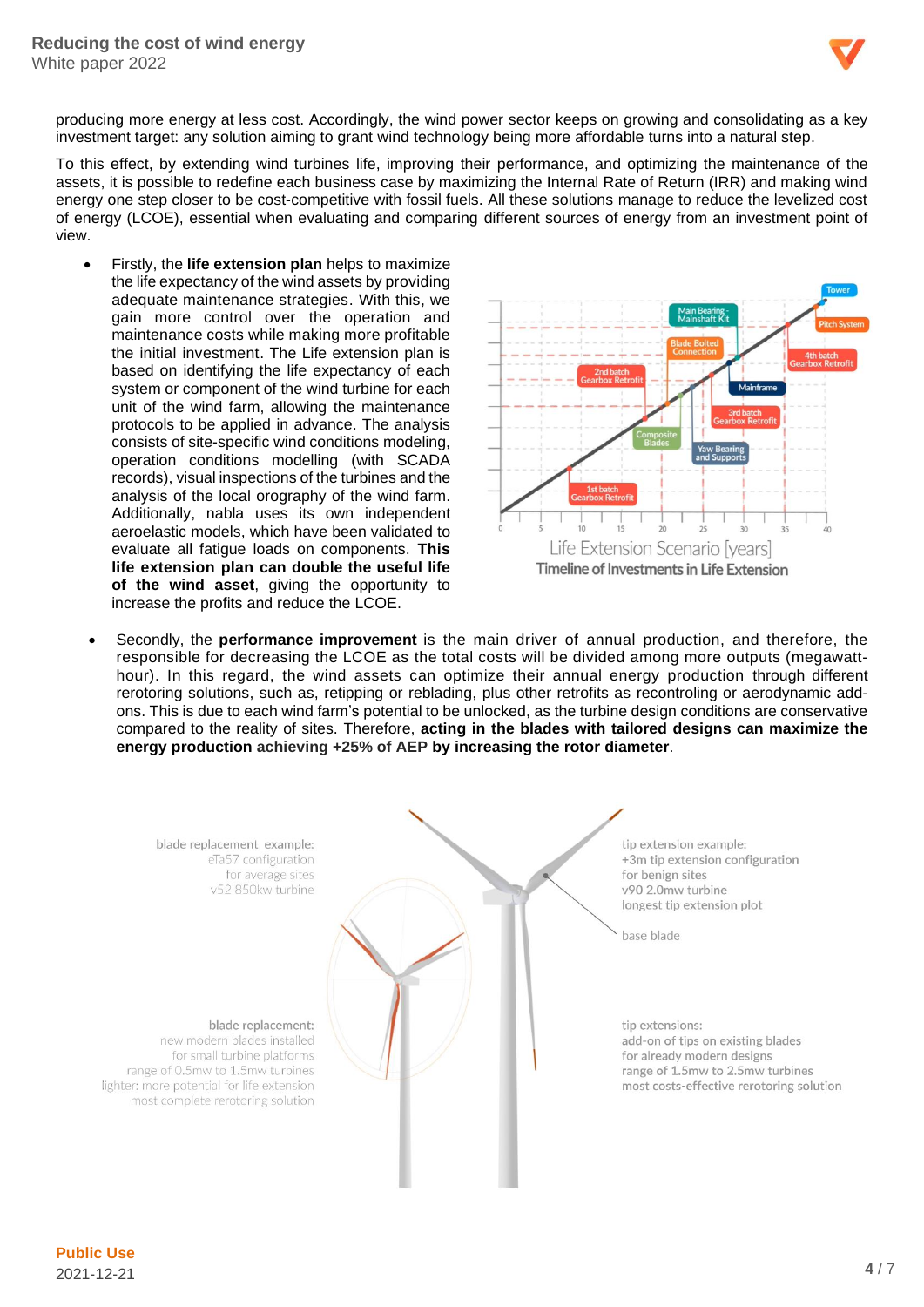

producing more energy at less cost. Accordingly, the wind power sector keeps on growing and consolidating as a key investment target: any solution aiming to grant wind technology being more affordable turns into a natural step.

To this effect, by extending wind turbines life, improving their performance, and optimizing the maintenance of the assets, it is possible to redefine each business case by maximizing the Internal Rate of Return (IRR) and making wind energy one step closer to be cost-competitive with fossil fuels. All these solutions manage to reduce the levelized cost of energy (LCOE), essential when evaluating and comparing different sources of energy from an investment point of view.

• Firstly, the **life extension plan** helps to maximize the life expectancy of the wind assets by providing adequate maintenance strategies. With this, we gain more control over the operation and maintenance costs while making more profitable the initial investment. The Life extension plan is based on identifying the life expectancy of each system or component of the wind turbine for each unit of the wind farm, allowing the maintenance protocols to be applied in advance. The analysis consists of site-specific wind conditions modeling, operation conditions modelling (with SCADA records), visual inspections of the turbines and the analysis of the local orography of the wind farm. Additionally, nabla uses its own independent aeroelastic models, which have been validated to evaluate all fatigue loads on components. **This life extension plan can double the useful life of the wind asset**, giving the opportunity to increase the profits and reduce the LCOE.



• Secondly, the **performance improvement** is the main driver of annual production, and therefore, the responsible for decreasing the LCOE as the total costs will be divided among more outputs (megawatthour). In this regard, the wind assets can optimize their annual energy production through different rerotoring solutions, such as, retipping or reblading, plus other retrofits as recontroling or aerodynamic addons. This is due to each wind farm's potential to be unlocked, as the turbine design conditions are conservative compared to the reality of sites. Therefore, **acting in the blades with tailored designs can maximize the energy production achieving +25% of AEP by increasing the rotor diameter**.

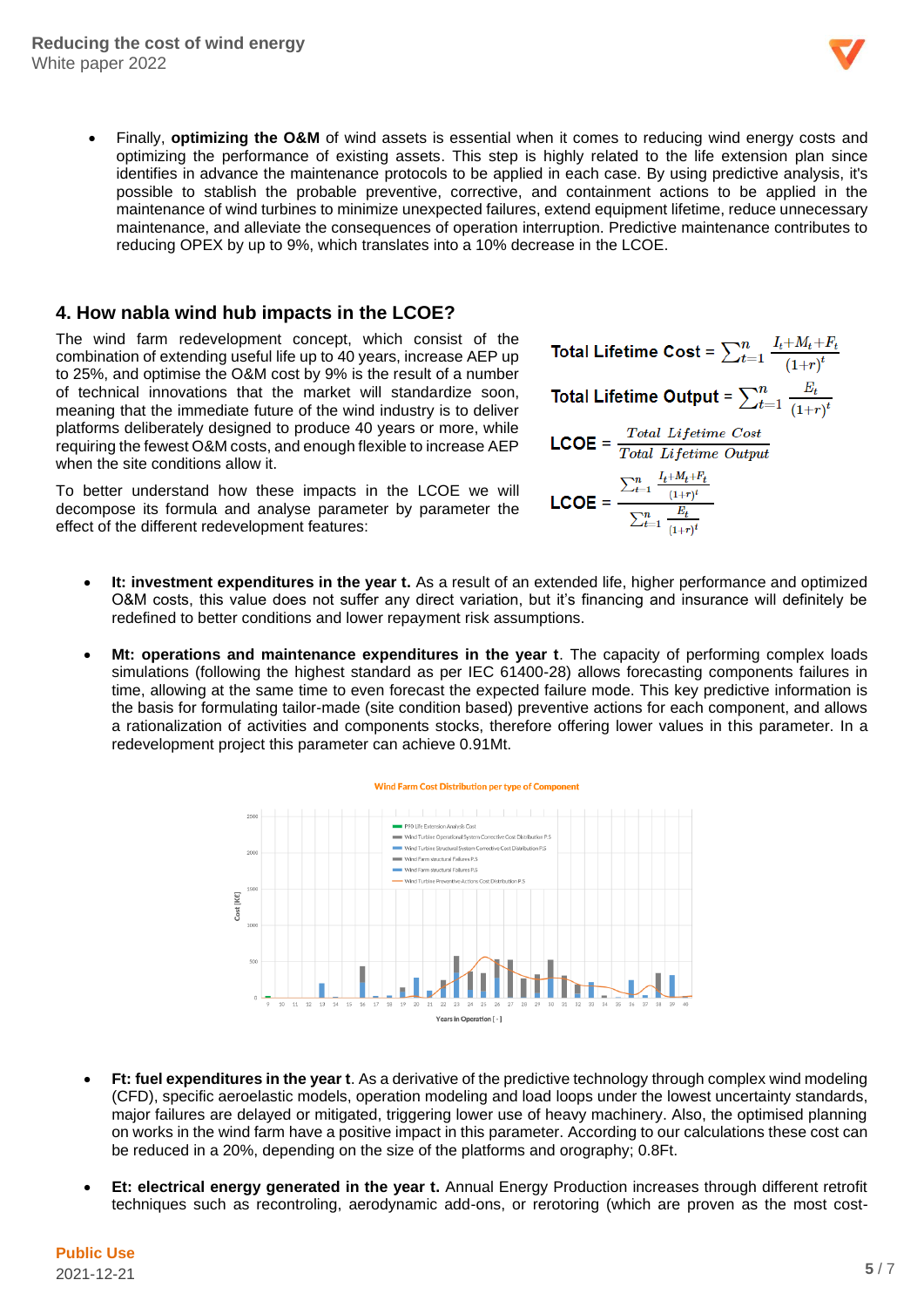

• Finally, **optimizing the O&M** of wind assets is essential when it comes to reducing wind energy costs and optimizing the performance of existing assets. This step is highly related to the life extension plan since identifies in advance the maintenance protocols to be applied in each case. By using predictive analysis, it's possible to stablish the probable preventive, corrective, and containment actions to be applied in the maintenance of wind turbines to minimize unexpected failures, extend equipment lifetime, reduce unnecessary maintenance, and alleviate the consequences of operation interruption. Predictive maintenance contributes to reducing OPEX by up to 9%, which translates into a 10% decrease in the LCOE.

#### <span id="page-4-0"></span>**4. How nabla wind hub impacts in the LCOE?**

The wind farm redevelopment concept, which consist of the combination of extending useful life up to 40 years, increase AEP up to 25%, and optimise the O&M cost by 9% is the result of a number of technical innovations that the market will standardize soon, meaning that the immediate future of the wind industry is to deliver platforms deliberately designed to produce 40 years or more, while requiring the fewest O&M costs, and enough flexible to increase AEP when the site conditions allow it.

To better understand how these impacts in the LCOE we will decompose its formula and analyse parameter by parameter the effect of the different redevelopment features:

- **Total Lifetime Cost** =  $\sum_{t=1}^{n} \frac{I_t + M_t + F_t}{(1+r)^t}$ Total Lifetime Output =  $\sum_{t=1}^{n} \frac{E_t}{(1+r)^t}$  $\text{LCOE} = \frac{Total\;Lifetime\;Cost}{Total\;Lifetime\; Output}$ LCOE =  $\frac{\sum_{t=1}^{n} \frac{I_t + M_t + F_t}{(1+r)^t}}{\sum_{t=1}^{n} \frac{E_t}{(1+r)^t}}$
- **It: investment expenditures in the year t.** As a result of an extended life, higher performance and optimized O&M costs, this value does not suffer any direct variation, but it's financing and insurance will definitely be redefined to better conditions and lower repayment risk assumptions.
- **Mt: operations and maintenance expenditures in the year t**. The capacity of performing complex loads simulations (following the highest standard as per IEC 61400-28) allows forecasting components failures in time, allowing at the same time to even forecast the expected failure mode. This key predictive information is the basis for formulating tailor-made (site condition based) preventive actions for each component, and allows a rationalization of activities and components stocks, therefore offering lower values in this parameter. In a redevelopment project this parameter can achieve 0.91Mt.



- **Ft: fuel expenditures in the year t**. As a derivative of the predictive technology through complex wind modeling (CFD), specific aeroelastic models, operation modeling and load loops under the lowest uncertainty standards, major failures are delayed or mitigated, triggering lower use of heavy machinery. Also, the optimised planning on works in the wind farm have a positive impact in this parameter. According to our calculations these cost can be reduced in a 20%, depending on the size of the platforms and orography; 0.8Ft.
- **Et: electrical energy generated in the year t.** Annual Energy Production increases through different retrofit techniques such as recontroling, aerodynamic add-ons, or rerotoring (which are proven as the most cost-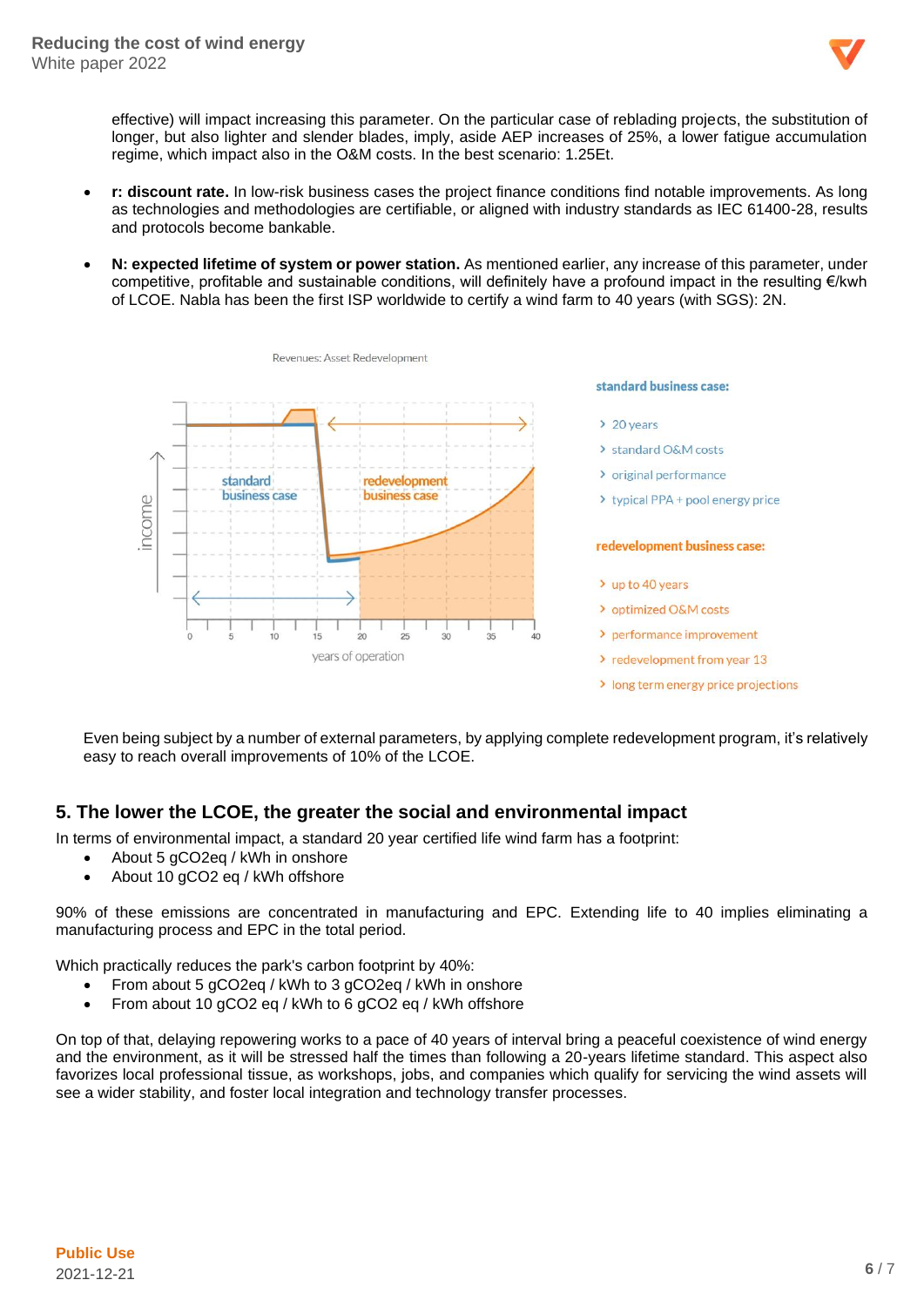

effective) will impact increasing this parameter. On the particular case of reblading projects, the substitution of longer, but also lighter and slender blades, imply, aside AEP increases of 25%, a lower fatigue accumulation regime, which impact also in the O&M costs. In the best scenario: 1.25Et.

- **r: discount rate.** In low-risk business cases the project finance conditions find notable improvements. As long as technologies and methodologies are certifiable, or aligned with industry standards as IEC 61400-28, results and protocols become bankable.
- **N: expected lifetime of system or power station.** As mentioned earlier, any increase of this parameter, under competitive, profitable and sustainable conditions, will definitely have a profound impact in the resulting €/kwh of LCOE. Nabla has been the first ISP worldwide to certify a wind farm to 40 years (with SGS): 2N.



Even being subject by a number of external parameters, by applying complete redevelopment program, it's relatively easy to reach overall improvements of 10% of the LCOE.

### <span id="page-5-0"></span>**5. The lower the LCOE, the greater the social and environmental impact**

In terms of environmental impact, a standard 20 year certified life wind farm has a footprint:

- About 5 gCO2eq / kWh in onshore
- About 10 gCO2 eq / kWh offshore

90% of these emissions are concentrated in manufacturing and EPC. Extending life to 40 implies eliminating a manufacturing process and EPC in the total period.

Which practically reduces the park's carbon footprint by 40%:

- From about 5 gCO2eq / kWh to 3 gCO2eq / kWh in onshore
- From about 10 gCO2 eq / kWh to 6 gCO2 eq / kWh offshore

On top of that, delaying repowering works to a pace of 40 years of interval bring a peaceful coexistence of wind energy and the environment, as it will be stressed half the times than following a 20-years lifetime standard. This aspect also favorizes local professional tissue, as workshops, jobs, and companies which qualify for servicing the wind assets will see a wider stability, and foster local integration and technology transfer processes.